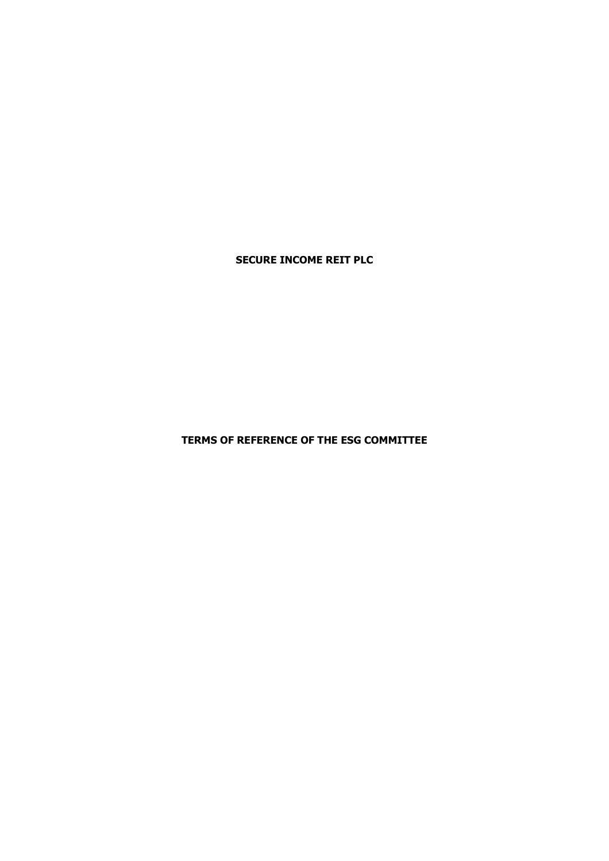**SECURE INCOME REIT PLC**

**TERMS OF REFERENCE OF THE ESG COMMITTEE**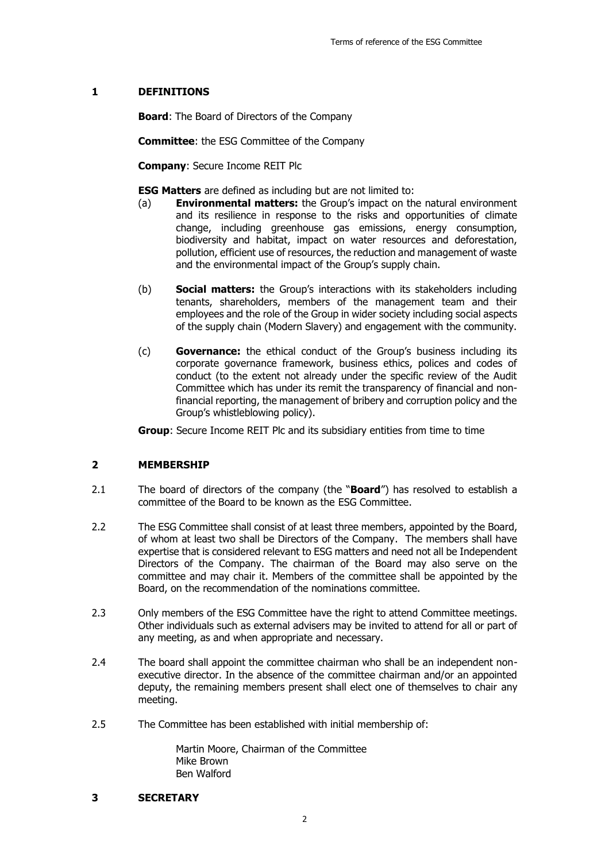# **1 DEFINITIONS**

**Board**: The Board of Directors of the Company

**Committee**: the ESG Committee of the Company

**Company**: Secure Income REIT Plc

**ESG Matters** are defined as including but are not limited to:

- (a) **Environmental matters:** the Group's impact on the natural environment and its resilience in response to the risks and opportunities of climate change, including greenhouse gas emissions, energy consumption, biodiversity and habitat, impact on water resources and deforestation, pollution, efficient use of resources, the reduction and management of waste and the environmental impact of the Group's supply chain.
- (b) **Social matters:** the Group's interactions with its stakeholders including tenants, shareholders, members of the management team and their employees and the role of the Group in wider society including social aspects of the supply chain (Modern Slavery) and engagement with the community.
- (c) **Governance:** the ethical conduct of the Group's business including its corporate governance framework, business ethics, polices and codes of conduct (to the extent not already under the specific review of the Audit Committee which has under its remit the transparency of financial and nonfinancial reporting, the management of bribery and corruption policy and the Group's whistleblowing policy).

**Group**: Secure Income REIT Plc and its subsidiary entities from time to time

## **2 MEMBERSHIP**

- 2.1 The board of directors of the company (the "**Board**") has resolved to establish a committee of the Board to be known as the ESG Committee.
- 2.2 The ESG Committee shall consist of at least three members, appointed by the Board, of whom at least two shall be Directors of the Company. The members shall have expertise that is considered relevant to ESG matters and need not all be Independent Directors of the Company. The chairman of the Board may also serve on the committee and may chair it. Members of the committee shall be appointed by the Board, on the recommendation of the nominations committee.
- 2.3 Only members of the ESG Committee have the right to attend Committee meetings. Other individuals such as external advisers may be invited to attend for all or part of any meeting, as and when appropriate and necessary.
- 2.4 The board shall appoint the committee chairman who shall be an independent nonexecutive director. In the absence of the committee chairman and/or an appointed deputy, the remaining members present shall elect one of themselves to chair any meeting.
- 2.5 The Committee has been established with initial membership of:

Martin Moore, Chairman of the Committee Mike Brown Ben Walford

**3 SECRETARY**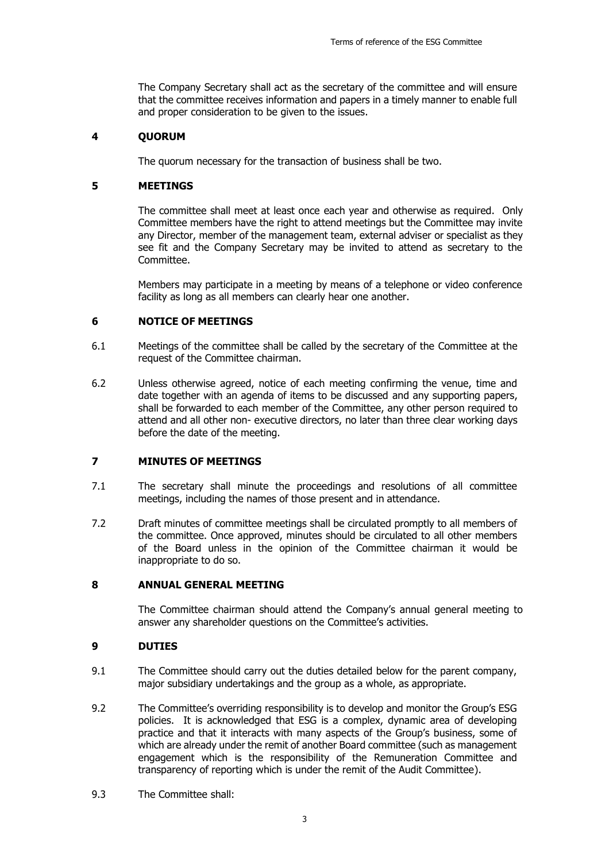The Company Secretary shall act as the secretary of the committee and will ensure that the committee receives information and papers in a timely manner to enable full and proper consideration to be given to the issues.

### **4 QUORUM**

The quorum necessary for the transaction of business shall be two.

### **5 MEETINGS**

The committee shall meet at least once each year and otherwise as required. Only Committee members have the right to attend meetings but the Committee may invite any Director, member of the management team, external adviser or specialist as they see fit and the Company Secretary may be invited to attend as secretary to the Committee.

Members may participate in a meeting by means of a telephone or video conference facility as long as all members can clearly hear one another.

## **6 NOTICE OF MEETINGS**

- 6.1 Meetings of the committee shall be called by the secretary of the Committee at the request of the Committee chairman.
- 6.2 Unless otherwise agreed, notice of each meeting confirming the venue, time and date together with an agenda of items to be discussed and any supporting papers, shall be forwarded to each member of the Committee, any other person required to attend and all other non- executive directors, no later than three clear working days before the date of the meeting.

### **7 MINUTES OF MEETINGS**

- 7.1 The secretary shall minute the proceedings and resolutions of all committee meetings, including the names of those present and in attendance.
- 7.2 Draft minutes of committee meetings shall be circulated promptly to all members of the committee. Once approved, minutes should be circulated to all other members of the Board unless in the opinion of the Committee chairman it would be inappropriate to do so.

#### **8 ANNUAL GENERAL MEETING**

The Committee chairman should attend the Company's annual general meeting to answer any shareholder questions on the Committee's activities.

## **9 DUTIES**

- 9.1 The Committee should carry out the duties detailed below for the parent company, major subsidiary undertakings and the group as a whole, as appropriate.
- 9.2 The Committee's overriding responsibility is to develop and monitor the Group's ESG policies. It is acknowledged that ESG is a complex, dynamic area of developing practice and that it interacts with many aspects of the Group's business, some of which are already under the remit of another Board committee (such as management engagement which is the responsibility of the Remuneration Committee and transparency of reporting which is under the remit of the Audit Committee).
- 9.3 The Committee shall: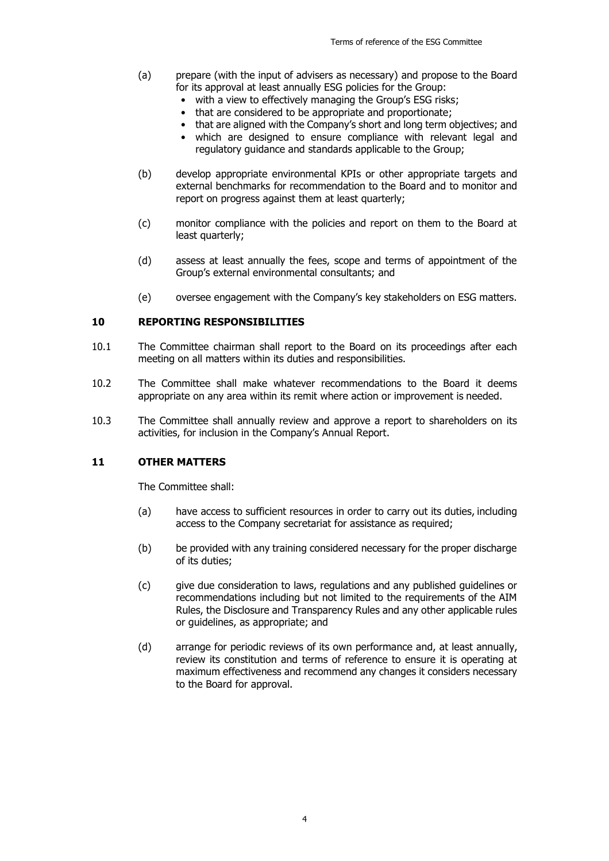- (a) prepare (with the input of advisers as necessary) and propose to the Board for its approval at least annually ESG policies for the Group:
	- with a view to effectively managing the Group's ESG risks;
	- that are considered to be appropriate and proportionate;
	- that are aligned with the Company's short and long term objectives; and
	- which are designed to ensure compliance with relevant legal and regulatory guidance and standards applicable to the Group;
- (b) develop appropriate environmental KPIs or other appropriate targets and external benchmarks for recommendation to the Board and to monitor and report on progress against them at least quarterly;
- (c) monitor compliance with the policies and report on them to the Board at least quarterly;
- (d) assess at least annually the fees, scope and terms of appointment of the Group's external environmental consultants; and
- (e) oversee engagement with the Company's key stakeholders on ESG matters.

### **10 REPORTING RESPONSIBILITIES**

- 10.1 The Committee chairman shall report to the Board on its proceedings after each meeting on all matters within its duties and responsibilities.
- 10.2 The Committee shall make whatever recommendations to the Board it deems appropriate on any area within its remit where action or improvement is needed.
- 10.3 The Committee shall annually review and approve a report to shareholders on its activities, for inclusion in the Company's Annual Report.

## **11 OTHER MATTERS**

The Committee shall:

- (a) have access to sufficient resources in order to carry out its duties, including access to the Company secretariat for assistance as required;
- (b) be provided with any training considered necessary for the proper discharge of its duties;
- (c) give due consideration to laws, regulations and any published guidelines or recommendations including but not limited to the requirements of the AIM Rules, the Disclosure and Transparency Rules and any other applicable rules or guidelines, as appropriate; and
- (d) arrange for periodic reviews of its own performance and, at least annually, review its constitution and terms of reference to ensure it is operating at maximum effectiveness and recommend any changes it considers necessary to the Board for approval.